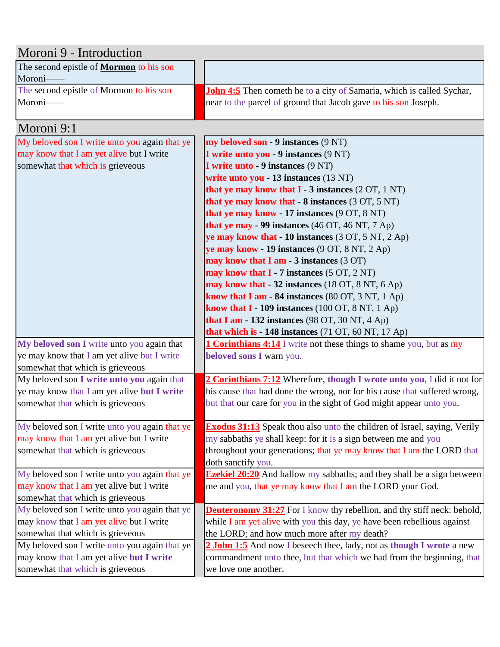| Moroni 9 - Introduction                        |                                                                                 |  |
|------------------------------------------------|---------------------------------------------------------------------------------|--|
| The second epistle of <b>Mormon</b> to his son |                                                                                 |  |
| Moroni-                                        |                                                                                 |  |
| The second epistle of Mormon to his son        | John 4:5 Then cometh he to a city of Samaria, which is called Sychar,           |  |
| Moroni-                                        | near to the parcel of ground that Jacob gave to his son Joseph.                 |  |
|                                                |                                                                                 |  |
| Moroni 9:1                                     |                                                                                 |  |
| My beloved son I write unto you again that ye  | my beloved son - 9 instances (9 NT)                                             |  |
| may know that I am yet alive but I write       | I write unto you - 9 instances (9 NT)                                           |  |
| somewhat that which is grieveous               | I write unto - 9 instances (9 NT)                                               |  |
|                                                | write unto you - 13 instances (13 NT)                                           |  |
|                                                | that ye may know that $I - 3$ instances $(2 OT, 1 NT)$                          |  |
|                                                | that ye may know that $-8$ instances $(3 \text{ OT}, 5 \text{ NT})$             |  |
|                                                | that ye may know - 17 instances (9 OT, 8 NT)                                    |  |
|                                                | that ye may - 99 instances (46 OT, 46 NT, 7 Ap)                                 |  |
|                                                | ye may know that - 10 instances (3 OT, 5 NT, 2 Ap)                              |  |
|                                                | ye may know - 19 instances (9 OT, 8 NT, 2 Ap)                                   |  |
|                                                | may know that I am - $3$ instances (3 OT)                                       |  |
|                                                | may know that $I - 7$ instances $(5 OT, 2 NT)$                                  |  |
|                                                | may know that - 32 instances (18 OT, 8 NT, 6 Ap)                                |  |
|                                                | know that I am - 84 instances $(80 \text{ OT}, 3 \text{ NT}, 1 \text{ Ap})$     |  |
|                                                | know that $I - 109$ instances (100 OT, 8 NT, 1 Ap)                              |  |
|                                                | that I am - 132 instances (98 OT, 30 NT, 4 Ap)                                  |  |
|                                                | that which is - 148 instances (71 OT, 60 NT, 17 Ap)                             |  |
| My beloved son I write unto you again that     | <b>1 Corinthians 4:14</b> I write not these things to shame you, but as my      |  |
| ye may know that I am yet alive but I write    | beloved sons I warn you.                                                        |  |
| somewhat that which is grieveous               |                                                                                 |  |
| My beloved son I write unto you again that     | 2 Corinthians 7:12 Wherefore, though I wrote unto you, I did it not for         |  |
| ye may know that I am yet alive but I write    | his cause that had done the wrong, nor for his cause that suffered wrong,       |  |
| somewhat that which is grieveous               | but that our care for you in the sight of God might appear unto you.            |  |
| My beloved son I write unto you again that ye  | <b>Exodus 31:13</b> Speak thou also unto the children of Israel, saying, Verily |  |
| may know that I am yet alive but I write       | my sabbaths ye shall keep: for it is a sign between me and you                  |  |
| somewhat that which is grieveous               | throughout your generations; that ye may know that I am the LORD that           |  |
|                                                | doth sanctify you.                                                              |  |
| My beloved son I write unto you again that ye  | <b>Ezekiel 20:20</b> And hallow my sabbaths; and they shall be a sign between   |  |
| may know that I am yet alive but I write       | me and you, that ye may know that I am the LORD your God.                       |  |
| somewhat that which is grieveous               |                                                                                 |  |
| My beloved son I write unto you again that ye  | <b>Deuteronomy 31:27</b> For I know thy rebellion, and thy stiff neck: behold,  |  |
| may know that I am yet alive but I write       | while $I$ am yet alive with you this day, ye have been rebellious against       |  |
| somewhat that which is grieveous               | the LORD; and how much more after my death?                                     |  |
| My beloved son I write unto you again that ye  | 2 John 1:5 And now I beseech thee, lady, not as though I wrote a new            |  |
| may know that I am yet alive but I write       | commandment unto thee, but that which we had from the beginning, that           |  |
| somewhat that which is grieveous               | we love one another.                                                            |  |
|                                                |                                                                                 |  |